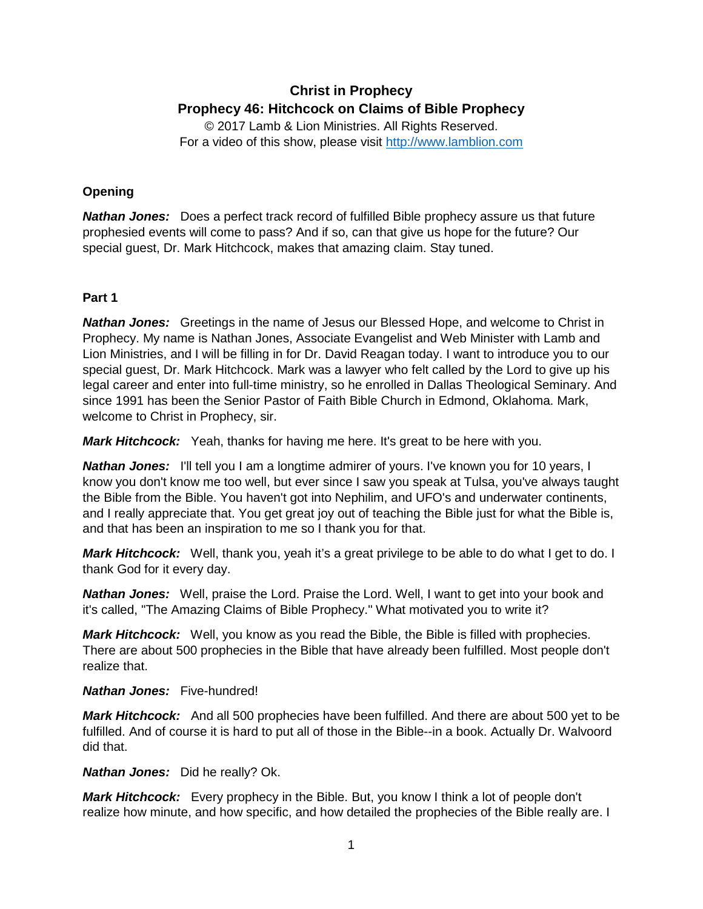# **Christ in Prophecy Prophecy 46: Hitchcock on Claims of Bible Prophecy**

© 2017 Lamb & Lion Ministries. All Rights Reserved. For a video of this show, please visit [http://www.lamblion.com](http://www.lamblion.com/)

## **Opening**

**Nathan Jones:** Does a perfect track record of fulfilled Bible prophecy assure us that future prophesied events will come to pass? And if so, can that give us hope for the future? Our special guest, Dr. Mark Hitchcock, makes that amazing claim. Stay tuned.

### **Part 1**

*Nathan Jones:* Greetings in the name of Jesus our Blessed Hope, and welcome to Christ in Prophecy. My name is Nathan Jones, Associate Evangelist and Web Minister with Lamb and Lion Ministries, and I will be filling in for Dr. David Reagan today. I want to introduce you to our special guest, Dr. Mark Hitchcock. Mark was a lawyer who felt called by the Lord to give up his legal career and enter into full-time ministry, so he enrolled in Dallas Theological Seminary. And since 1991 has been the Senior Pastor of Faith Bible Church in Edmond, Oklahoma. Mark, welcome to Christ in Prophecy, sir.

*Mark Hitchcock:* Yeah, thanks for having me here. It's great to be here with you.

*Nathan Jones:* I'll tell you I am a longtime admirer of yours. I've known you for 10 years, I know you don't know me too well, but ever since I saw you speak at Tulsa, you've always taught the Bible from the Bible. You haven't got into Nephilim, and UFO's and underwater continents, and I really appreciate that. You get great joy out of teaching the Bible just for what the Bible is, and that has been an inspiration to me so I thank you for that.

*Mark Hitchcock:* Well, thank you, yeah it's a great privilege to be able to do what I get to do. I thank God for it every day.

*Nathan Jones:* Well, praise the Lord. Praise the Lord. Well, I want to get into your book and it's called, "The Amazing Claims of Bible Prophecy." What motivated you to write it?

*Mark Hitchcock:* Well, you know as you read the Bible, the Bible is filled with prophecies. There are about 500 prophecies in the Bible that have already been fulfilled. Most people don't realize that.

### *Nathan Jones:* Five-hundred!

*Mark Hitchcock:* And all 500 prophecies have been fulfilled. And there are about 500 yet to be fulfilled. And of course it is hard to put all of those in the Bible--in a book. Actually Dr. Walvoord did that.

*Nathan Jones:* Did he really? Ok.

*Mark Hitchcock:* Every prophecy in the Bible. But, you know I think a lot of people don't realize how minute, and how specific, and how detailed the prophecies of the Bible really are. I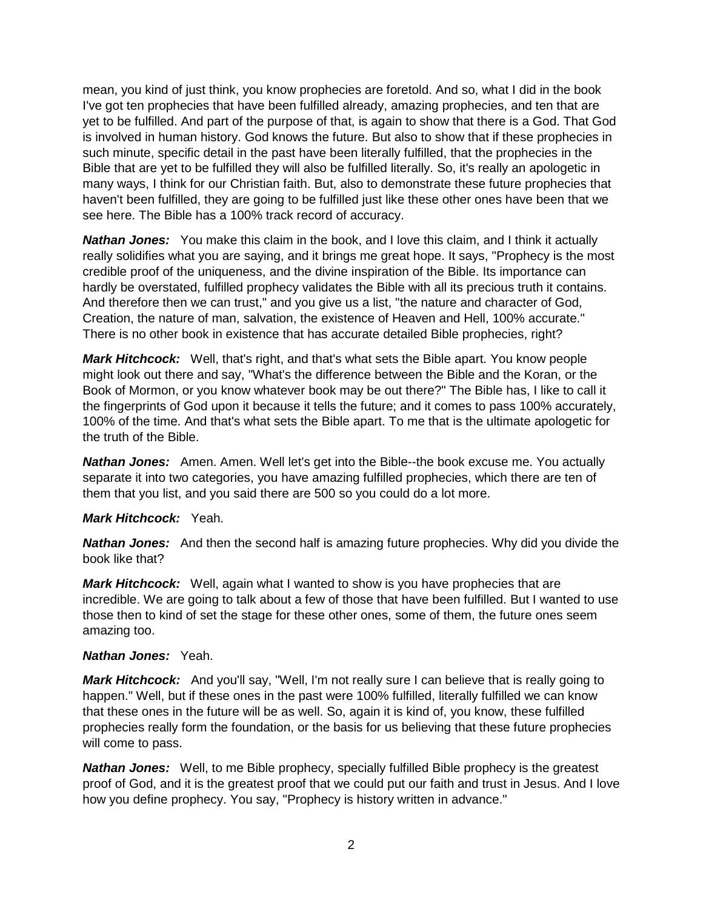mean, you kind of just think, you know prophecies are foretold. And so, what I did in the book I've got ten prophecies that have been fulfilled already, amazing prophecies, and ten that are yet to be fulfilled. And part of the purpose of that, is again to show that there is a God. That God is involved in human history. God knows the future. But also to show that if these prophecies in such minute, specific detail in the past have been literally fulfilled, that the prophecies in the Bible that are yet to be fulfilled they will also be fulfilled literally. So, it's really an apologetic in many ways, I think for our Christian faith. But, also to demonstrate these future prophecies that haven't been fulfilled, they are going to be fulfilled just like these other ones have been that we see here. The Bible has a 100% track record of accuracy.

**Nathan Jones:** You make this claim in the book, and I love this claim, and I think it actually really solidifies what you are saying, and it brings me great hope. It says, "Prophecy is the most credible proof of the uniqueness, and the divine inspiration of the Bible. Its importance can hardly be overstated, fulfilled prophecy validates the Bible with all its precious truth it contains. And therefore then we can trust," and you give us a list, "the nature and character of God, Creation, the nature of man, salvation, the existence of Heaven and Hell, 100% accurate." There is no other book in existence that has accurate detailed Bible prophecies, right?

*Mark Hitchcock:* Well, that's right, and that's what sets the Bible apart. You know people might look out there and say, "What's the difference between the Bible and the Koran, or the Book of Mormon, or you know whatever book may be out there?" The Bible has, I like to call it the fingerprints of God upon it because it tells the future; and it comes to pass 100% accurately, 100% of the time. And that's what sets the Bible apart. To me that is the ultimate apologetic for the truth of the Bible.

*Nathan Jones:* Amen. Amen. Well let's get into the Bible--the book excuse me. You actually separate it into two categories, you have amazing fulfilled prophecies, which there are ten of them that you list, and you said there are 500 so you could do a lot more.

#### *Mark Hitchcock:* Yeah.

*Nathan Jones:* And then the second half is amazing future prophecies. Why did you divide the book like that?

*Mark Hitchcock:* Well, again what I wanted to show is you have prophecies that are incredible. We are going to talk about a few of those that have been fulfilled. But I wanted to use those then to kind of set the stage for these other ones, some of them, the future ones seem amazing too.

#### *Nathan Jones:* Yeah.

*Mark Hitchcock:* And you'll say, "Well, I'm not really sure I can believe that is really going to happen." Well, but if these ones in the past were 100% fulfilled, literally fulfilled we can know that these ones in the future will be as well. So, again it is kind of, you know, these fulfilled prophecies really form the foundation, or the basis for us believing that these future prophecies will come to pass.

*Nathan Jones:* Well, to me Bible prophecy, specially fulfilled Bible prophecy is the greatest proof of God, and it is the greatest proof that we could put our faith and trust in Jesus. And I love how you define prophecy. You say, "Prophecy is history written in advance."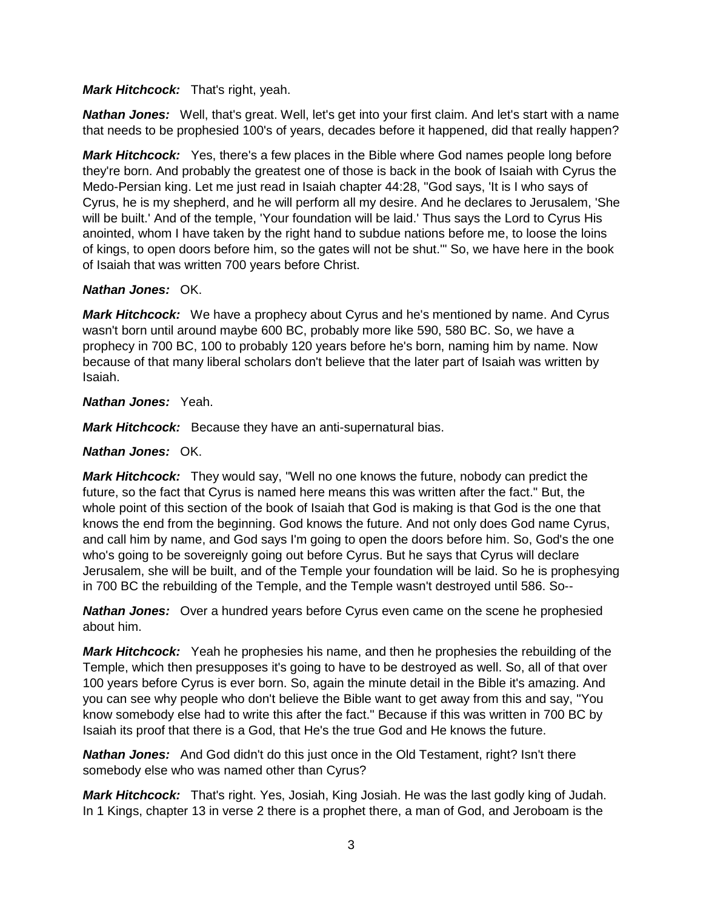### *Mark Hitchcock:* That's right, yeah.

*Nathan Jones:* Well, that's great. Well, let's get into your first claim. And let's start with a name that needs to be prophesied 100's of years, decades before it happened, did that really happen?

*Mark Hitchcock:* Yes, there's a few places in the Bible where God names people long before they're born. And probably the greatest one of those is back in the book of Isaiah with Cyrus the Medo-Persian king. Let me just read in Isaiah chapter 44:28, "God says, 'It is I who says of Cyrus, he is my shepherd, and he will perform all my desire. And he declares to Jerusalem, 'She will be built.' And of the temple, 'Your foundation will be laid.' Thus says the Lord to Cyrus His anointed, whom I have taken by the right hand to subdue nations before me, to loose the loins of kings, to open doors before him, so the gates will not be shut.'" So, we have here in the book of Isaiah that was written 700 years before Christ.

### *Nathan Jones:* OK.

*Mark Hitchcock:* We have a prophecy about Cyrus and he's mentioned by name. And Cyrus wasn't born until around maybe 600 BC, probably more like 590, 580 BC. So, we have a prophecy in 700 BC, 100 to probably 120 years before he's born, naming him by name. Now because of that many liberal scholars don't believe that the later part of Isaiah was written by Isaiah.

#### *Nathan Jones:* Yeah.

*Mark Hitchcock:* Because they have an anti-supernatural bias.

### *Nathan Jones:* OK.

*Mark Hitchcock:* They would say, "Well no one knows the future, nobody can predict the future, so the fact that Cyrus is named here means this was written after the fact." But, the whole point of this section of the book of Isaiah that God is making is that God is the one that knows the end from the beginning. God knows the future. And not only does God name Cyrus, and call him by name, and God says I'm going to open the doors before him. So, God's the one who's going to be sovereignly going out before Cyrus. But he says that Cyrus will declare Jerusalem, she will be built, and of the Temple your foundation will be laid. So he is prophesying in 700 BC the rebuilding of the Temple, and the Temple wasn't destroyed until 586. So--

*Nathan Jones:* Over a hundred years before Cyrus even came on the scene he prophesied about him.

*Mark Hitchcock:* Yeah he prophesies his name, and then he prophesies the rebuilding of the Temple, which then presupposes it's going to have to be destroyed as well. So, all of that over 100 years before Cyrus is ever born. So, again the minute detail in the Bible it's amazing. And you can see why people who don't believe the Bible want to get away from this and say, "You know somebody else had to write this after the fact." Because if this was written in 700 BC by Isaiah its proof that there is a God, that He's the true God and He knows the future.

*Nathan Jones:* And God didn't do this just once in the Old Testament, right? Isn't there somebody else who was named other than Cyrus?

*Mark Hitchcock:* That's right. Yes, Josiah, King Josiah. He was the last godly king of Judah. In 1 Kings, chapter 13 in verse 2 there is a prophet there, a man of God, and Jeroboam is the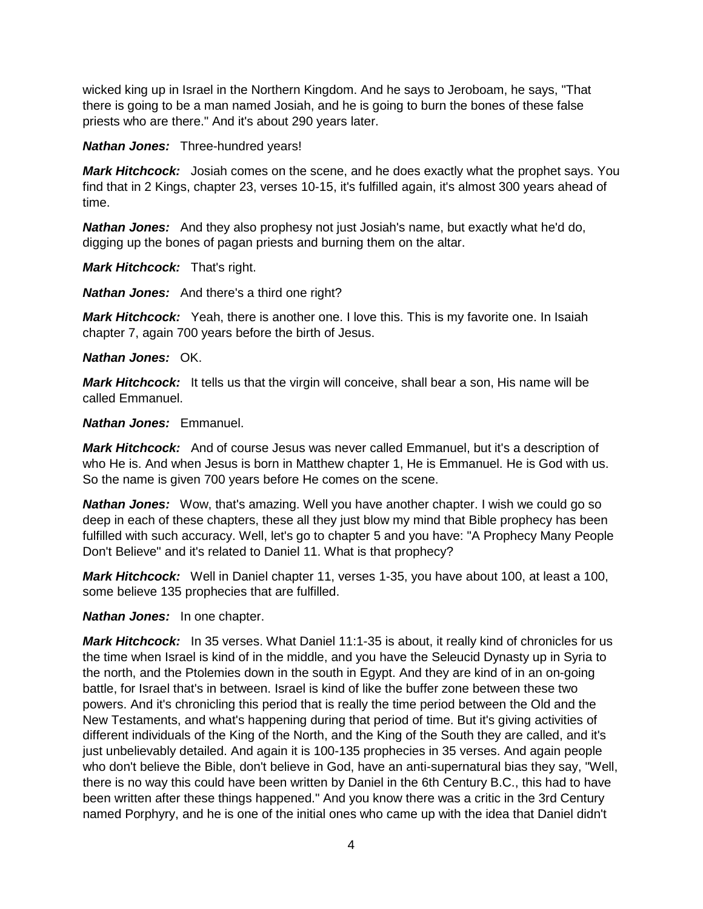wicked king up in Israel in the Northern Kingdom. And he says to Jeroboam, he says, "That there is going to be a man named Josiah, and he is going to burn the bones of these false priests who are there." And it's about 290 years later.

*Nathan Jones:* Three-hundred years!

*Mark Hitchcock:* Josiah comes on the scene, and he does exactly what the prophet says. You find that in 2 Kings, chapter 23, verses 10-15, it's fulfilled again, it's almost 300 years ahead of time.

*Nathan Jones:* And they also prophesy not just Josiah's name, but exactly what he'd do, digging up the bones of pagan priests and burning them on the altar.

*Mark Hitchcock:* That's right.

*Nathan Jones:* And there's a third one right?

*Mark Hitchcock:* Yeah, there is another one. I love this. This is my favorite one. In Isaiah chapter 7, again 700 years before the birth of Jesus.

#### *Nathan Jones:* OK.

*Mark Hitchcock:* It tells us that the virgin will conceive, shall bear a son, His name will be called Emmanuel.

#### *Nathan Jones:* Emmanuel.

*Mark Hitchcock:* And of course Jesus was never called Emmanuel, but it's a description of who He is. And when Jesus is born in Matthew chapter 1, He is Emmanuel. He is God with us. So the name is given 700 years before He comes on the scene.

*Nathan Jones:* Wow, that's amazing. Well you have another chapter. I wish we could go so deep in each of these chapters, these all they just blow my mind that Bible prophecy has been fulfilled with such accuracy. Well, let's go to chapter 5 and you have: "A Prophecy Many People Don't Believe" and it's related to Daniel 11. What is that prophecy?

*Mark Hitchcock:* Well in Daniel chapter 11, verses 1-35, you have about 100, at least a 100, some believe 135 prophecies that are fulfilled.

*Nathan Jones:* In one chapter.

*Mark Hitchcock:* In 35 verses. What Daniel 11:1-35 is about, it really kind of chronicles for us the time when Israel is kind of in the middle, and you have the Seleucid Dynasty up in Syria to the north, and the Ptolemies down in the south in Egypt. And they are kind of in an on-going battle, for Israel that's in between. Israel is kind of like the buffer zone between these two powers. And it's chronicling this period that is really the time period between the Old and the New Testaments, and what's happening during that period of time. But it's giving activities of different individuals of the King of the North, and the King of the South they are called, and it's just unbelievably detailed. And again it is 100-135 prophecies in 35 verses. And again people who don't believe the Bible, don't believe in God, have an anti-supernatural bias they say, "Well, there is no way this could have been written by Daniel in the 6th Century B.C., this had to have been written after these things happened." And you know there was a critic in the 3rd Century named Porphyry, and he is one of the initial ones who came up with the idea that Daniel didn't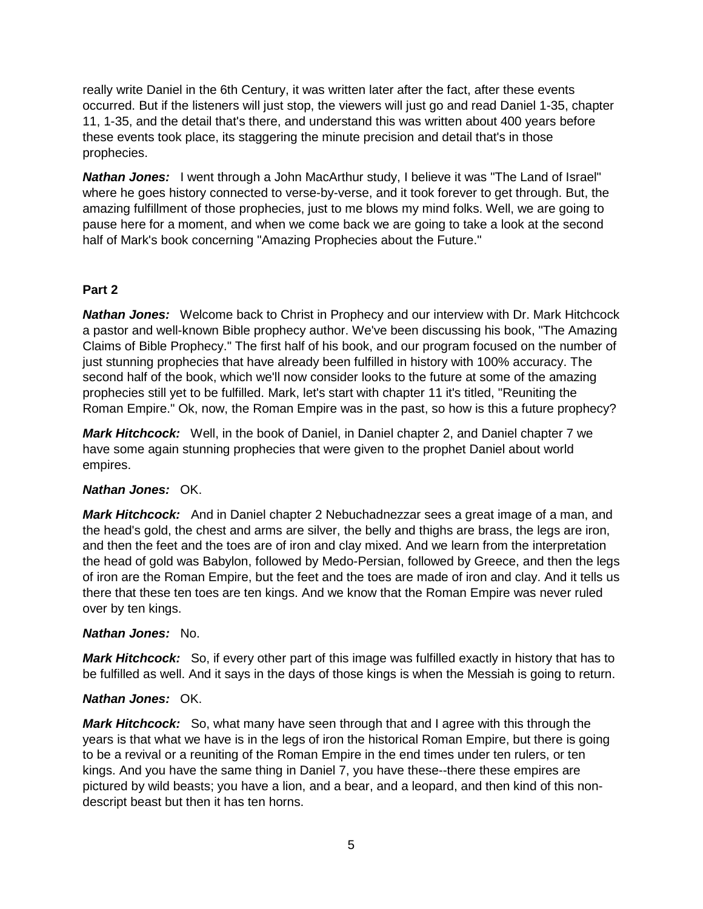really write Daniel in the 6th Century, it was written later after the fact, after these events occurred. But if the listeners will just stop, the viewers will just go and read Daniel 1-35, chapter 11, 1-35, and the detail that's there, and understand this was written about 400 years before these events took place, its staggering the minute precision and detail that's in those prophecies.

*Nathan Jones:* I went through a John MacArthur study, I believe it was "The Land of Israel" where he goes history connected to verse-by-verse, and it took forever to get through. But, the amazing fulfillment of those prophecies, just to me blows my mind folks. Well, we are going to pause here for a moment, and when we come back we are going to take a look at the second half of Mark's book concerning "Amazing Prophecies about the Future."

### **Part 2**

*Nathan Jones:* Welcome back to Christ in Prophecy and our interview with Dr. Mark Hitchcock a pastor and well-known Bible prophecy author. We've been discussing his book, "The Amazing Claims of Bible Prophecy." The first half of his book, and our program focused on the number of just stunning prophecies that have already been fulfilled in history with 100% accuracy. The second half of the book, which we'll now consider looks to the future at some of the amazing prophecies still yet to be fulfilled. Mark, let's start with chapter 11 it's titled, "Reuniting the Roman Empire." Ok, now, the Roman Empire was in the past, so how is this a future prophecy?

*Mark Hitchcock:* Well, in the book of Daniel, in Daniel chapter 2, and Daniel chapter 7 we have some again stunning prophecies that were given to the prophet Daniel about world empires.

### *Nathan Jones:* OK.

*Mark Hitchcock:* And in Daniel chapter 2 Nebuchadnezzar sees a great image of a man, and the head's gold, the chest and arms are silver, the belly and thighs are brass, the legs are iron, and then the feet and the toes are of iron and clay mixed. And we learn from the interpretation the head of gold was Babylon, followed by Medo-Persian, followed by Greece, and then the legs of iron are the Roman Empire, but the feet and the toes are made of iron and clay. And it tells us there that these ten toes are ten kings. And we know that the Roman Empire was never ruled over by ten kings.

### *Nathan Jones:* No.

*Mark Hitchcock:* So, if every other part of this image was fulfilled exactly in history that has to be fulfilled as well. And it says in the days of those kings is when the Messiah is going to return.

### *Nathan Jones:* OK.

*Mark Hitchcock:* So, what many have seen through that and I agree with this through the years is that what we have is in the legs of iron the historical Roman Empire, but there is going to be a revival or a reuniting of the Roman Empire in the end times under ten rulers, or ten kings. And you have the same thing in Daniel 7, you have these--there these empires are pictured by wild beasts; you have a lion, and a bear, and a leopard, and then kind of this nondescript beast but then it has ten horns.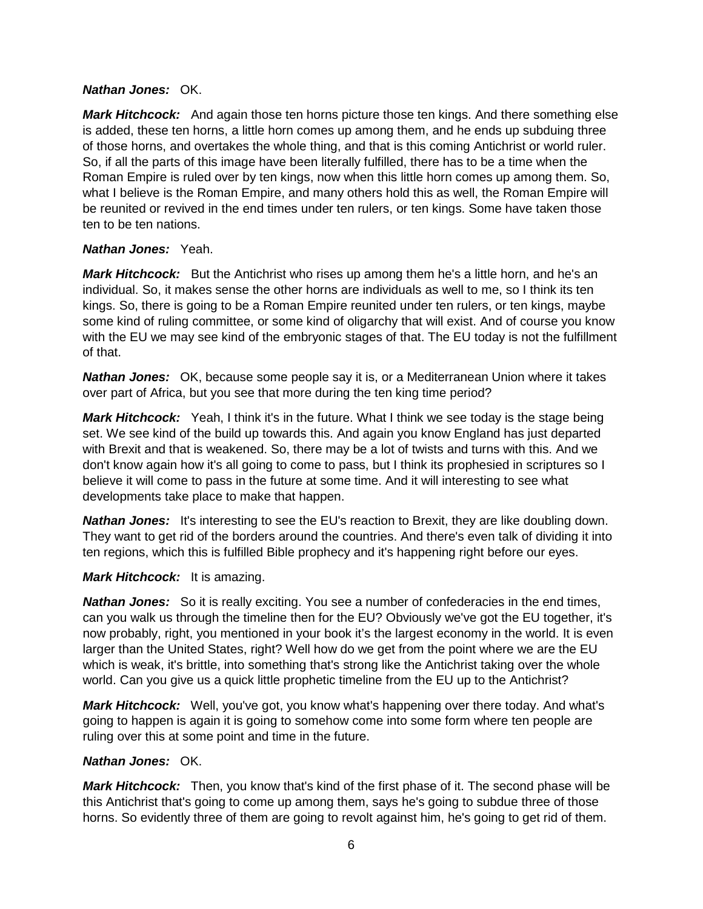#### *Nathan Jones:* OK.

*Mark Hitchcock:* And again those ten horns picture those ten kings. And there something else is added, these ten horns, a little horn comes up among them, and he ends up subduing three of those horns, and overtakes the whole thing, and that is this coming Antichrist or world ruler. So, if all the parts of this image have been literally fulfilled, there has to be a time when the Roman Empire is ruled over by ten kings, now when this little horn comes up among them. So, what I believe is the Roman Empire, and many others hold this as well, the Roman Empire will be reunited or revived in the end times under ten rulers, or ten kings. Some have taken those ten to be ten nations.

#### *Nathan Jones:* Yeah.

*Mark Hitchcock:* But the Antichrist who rises up among them he's a little horn, and he's an individual. So, it makes sense the other horns are individuals as well to me, so I think its ten kings. So, there is going to be a Roman Empire reunited under ten rulers, or ten kings, maybe some kind of ruling committee, or some kind of oligarchy that will exist. And of course you know with the EU we may see kind of the embryonic stages of that. The EU today is not the fulfillment of that.

*Nathan Jones:* OK, because some people say it is, or a Mediterranean Union where it takes over part of Africa, but you see that more during the ten king time period?

*Mark Hitchcock:* Yeah, I think it's in the future. What I think we see today is the stage being set. We see kind of the build up towards this. And again you know England has just departed with Brexit and that is weakened. So, there may be a lot of twists and turns with this. And we don't know again how it's all going to come to pass, but I think its prophesied in scriptures so I believe it will come to pass in the future at some time. And it will interesting to see what developments take place to make that happen.

*Nathan Jones:* It's interesting to see the EU's reaction to Brexit, they are like doubling down. They want to get rid of the borders around the countries. And there's even talk of dividing it into ten regions, which this is fulfilled Bible prophecy and it's happening right before our eyes.

### *Mark Hitchcock:* It is amazing.

**Nathan Jones:** So it is really exciting. You see a number of confederacies in the end times, can you walk us through the timeline then for the EU? Obviously we've got the EU together, it's now probably, right, you mentioned in your book it's the largest economy in the world. It is even larger than the United States, right? Well how do we get from the point where we are the EU which is weak, it's brittle, into something that's strong like the Antichrist taking over the whole world. Can you give us a quick little prophetic timeline from the EU up to the Antichrist?

*Mark Hitchcock:* Well, you've got, you know what's happening over there today. And what's going to happen is again it is going to somehow come into some form where ten people are ruling over this at some point and time in the future.

#### *Nathan Jones:* OK.

*Mark Hitchcock:* Then, you know that's kind of the first phase of it. The second phase will be this Antichrist that's going to come up among them, says he's going to subdue three of those horns. So evidently three of them are going to revolt against him, he's going to get rid of them.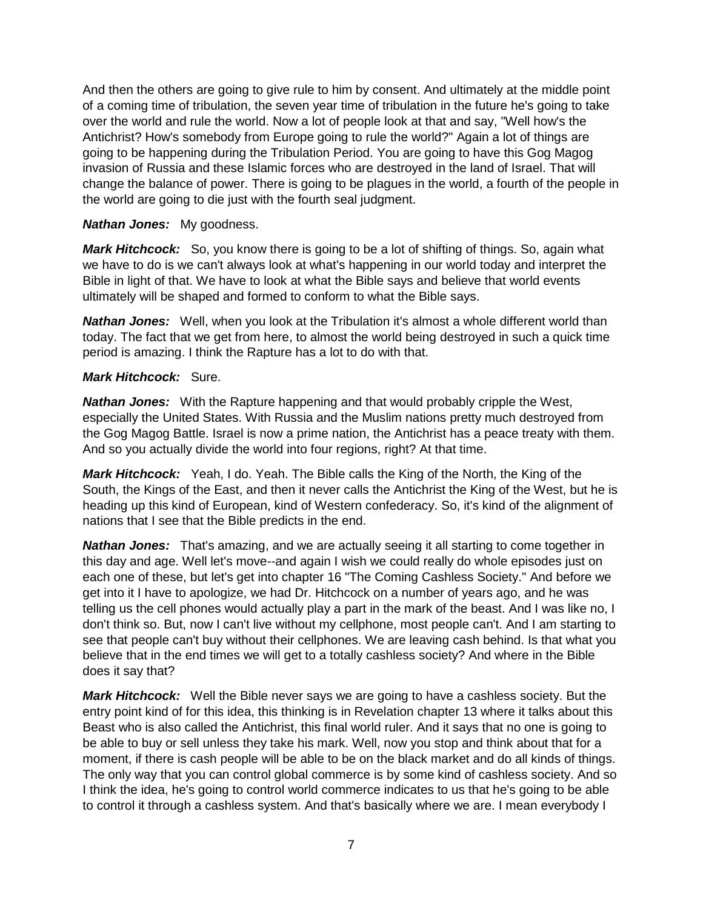And then the others are going to give rule to him by consent. And ultimately at the middle point of a coming time of tribulation, the seven year time of tribulation in the future he's going to take over the world and rule the world. Now a lot of people look at that and say, "Well how's the Antichrist? How's somebody from Europe going to rule the world?" Again a lot of things are going to be happening during the Tribulation Period. You are going to have this Gog Magog invasion of Russia and these Islamic forces who are destroyed in the land of Israel. That will change the balance of power. There is going to be plagues in the world, a fourth of the people in the world are going to die just with the fourth seal judgment.

### *Nathan Jones:* My goodness.

*Mark Hitchcock:* So, you know there is going to be a lot of shifting of things. So, again what we have to do is we can't always look at what's happening in our world today and interpret the Bible in light of that. We have to look at what the Bible says and believe that world events ultimately will be shaped and formed to conform to what the Bible says.

*Nathan Jones:* Well, when you look at the Tribulation it's almost a whole different world than today. The fact that we get from here, to almost the world being destroyed in such a quick time period is amazing. I think the Rapture has a lot to do with that.

#### *Mark Hitchcock:* Sure.

*Nathan Jones:* With the Rapture happening and that would probably cripple the West, especially the United States. With Russia and the Muslim nations pretty much destroyed from the Gog Magog Battle. Israel is now a prime nation, the Antichrist has a peace treaty with them. And so you actually divide the world into four regions, right? At that time.

*Mark Hitchcock:* Yeah, I do. Yeah. The Bible calls the King of the North, the King of the South, the Kings of the East, and then it never calls the Antichrist the King of the West, but he is heading up this kind of European, kind of Western confederacy. So, it's kind of the alignment of nations that I see that the Bible predicts in the end.

*Nathan Jones:* That's amazing, and we are actually seeing it all starting to come together in this day and age. Well let's move--and again I wish we could really do whole episodes just on each one of these, but let's get into chapter 16 "The Coming Cashless Society." And before we get into it I have to apologize, we had Dr. Hitchcock on a number of years ago, and he was telling us the cell phones would actually play a part in the mark of the beast. And I was like no, I don't think so. But, now I can't live without my cellphone, most people can't. And I am starting to see that people can't buy without their cellphones. We are leaving cash behind. Is that what you believe that in the end times we will get to a totally cashless society? And where in the Bible does it say that?

*Mark Hitchcock:* Well the Bible never says we are going to have a cashless society. But the entry point kind of for this idea, this thinking is in Revelation chapter 13 where it talks about this Beast who is also called the Antichrist, this final world ruler. And it says that no one is going to be able to buy or sell unless they take his mark. Well, now you stop and think about that for a moment, if there is cash people will be able to be on the black market and do all kinds of things. The only way that you can control global commerce is by some kind of cashless society. And so I think the idea, he's going to control world commerce indicates to us that he's going to be able to control it through a cashless system. And that's basically where we are. I mean everybody I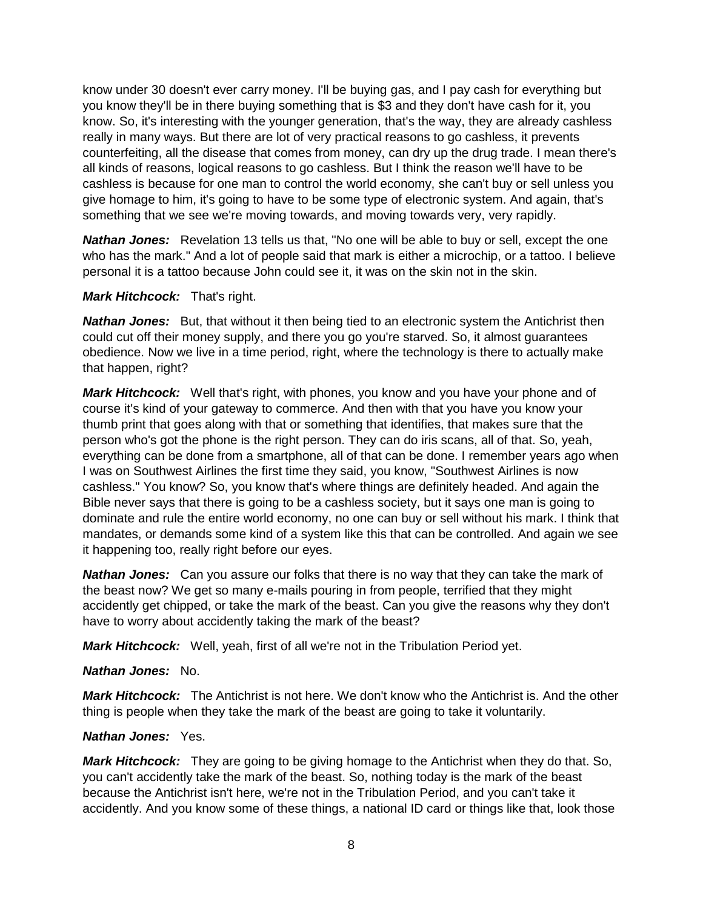know under 30 doesn't ever carry money. I'll be buying gas, and I pay cash for everything but you know they'll be in there buying something that is \$3 and they don't have cash for it, you know. So, it's interesting with the younger generation, that's the way, they are already cashless really in many ways. But there are lot of very practical reasons to go cashless, it prevents counterfeiting, all the disease that comes from money, can dry up the drug trade. I mean there's all kinds of reasons, logical reasons to go cashless. But I think the reason we'll have to be cashless is because for one man to control the world economy, she can't buy or sell unless you give homage to him, it's going to have to be some type of electronic system. And again, that's something that we see we're moving towards, and moving towards very, very rapidly.

*Nathan Jones:* Revelation 13 tells us that, "No one will be able to buy or sell, except the one who has the mark." And a lot of people said that mark is either a microchip, or a tattoo. I believe personal it is a tattoo because John could see it, it was on the skin not in the skin.

#### *Mark Hitchcock:* That's right.

**Nathan Jones:** But, that without it then being tied to an electronic system the Antichrist then could cut off their money supply, and there you go you're starved. So, it almost guarantees obedience. Now we live in a time period, right, where the technology is there to actually make that happen, right?

*Mark Hitchcock:* Well that's right, with phones, you know and you have your phone and of course it's kind of your gateway to commerce. And then with that you have you know your thumb print that goes along with that or something that identifies, that makes sure that the person who's got the phone is the right person. They can do iris scans, all of that. So, yeah, everything can be done from a smartphone, all of that can be done. I remember years ago when I was on Southwest Airlines the first time they said, you know, "Southwest Airlines is now cashless." You know? So, you know that's where things are definitely headed. And again the Bible never says that there is going to be a cashless society, but it says one man is going to dominate and rule the entire world economy, no one can buy or sell without his mark. I think that mandates, or demands some kind of a system like this that can be controlled. And again we see it happening too, really right before our eyes.

*Nathan Jones:* Can you assure our folks that there is no way that they can take the mark of the beast now? We get so many e-mails pouring in from people, terrified that they might accidently get chipped, or take the mark of the beast. Can you give the reasons why they don't have to worry about accidently taking the mark of the beast?

*Mark Hitchcock:* Well, yeah, first of all we're not in the Tribulation Period yet.

#### *Nathan Jones:* No.

*Mark Hitchcock:* The Antichrist is not here. We don't know who the Antichrist is. And the other thing is people when they take the mark of the beast are going to take it voluntarily.

#### *Nathan Jones:* Yes.

*Mark Hitchcock:* They are going to be giving homage to the Antichrist when they do that. So, you can't accidently take the mark of the beast. So, nothing today is the mark of the beast because the Antichrist isn't here, we're not in the Tribulation Period, and you can't take it accidently. And you know some of these things, a national ID card or things like that, look those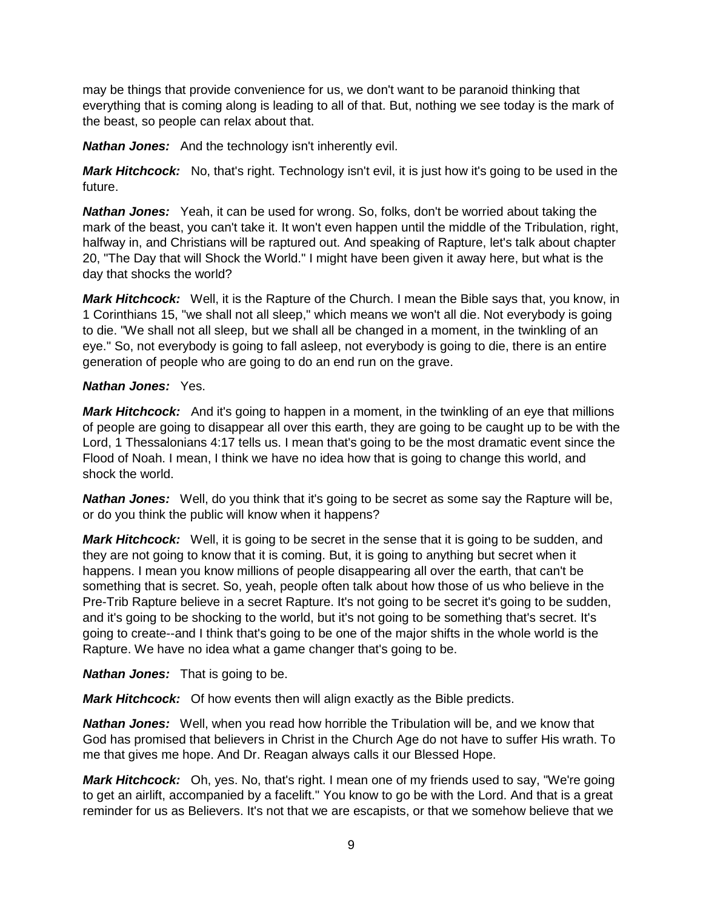may be things that provide convenience for us, we don't want to be paranoid thinking that everything that is coming along is leading to all of that. But, nothing we see today is the mark of the beast, so people can relax about that.

*Nathan Jones:* And the technology isn't inherently evil.

*Mark Hitchcock:* No, that's right. Technology isn't evil, it is just how it's going to be used in the future.

*Nathan Jones:* Yeah, it can be used for wrong. So, folks, don't be worried about taking the mark of the beast, you can't take it. It won't even happen until the middle of the Tribulation, right, halfway in, and Christians will be raptured out. And speaking of Rapture, let's talk about chapter 20, "The Day that will Shock the World." I might have been given it away here, but what is the day that shocks the world?

*Mark Hitchcock:* Well, it is the Rapture of the Church. I mean the Bible says that, you know, in 1 Corinthians 15, "we shall not all sleep," which means we won't all die. Not everybody is going to die. "We shall not all sleep, but we shall all be changed in a moment, in the twinkling of an eye." So, not everybody is going to fall asleep, not everybody is going to die, there is an entire generation of people who are going to do an end run on the grave.

#### *Nathan Jones:* Yes.

*Mark Hitchcock:* And it's going to happen in a moment, in the twinkling of an eye that millions of people are going to disappear all over this earth, they are going to be caught up to be with the Lord, 1 Thessalonians 4:17 tells us. I mean that's going to be the most dramatic event since the Flood of Noah. I mean, I think we have no idea how that is going to change this world, and shock the world.

*Nathan Jones:* Well, do you think that it's going to be secret as some say the Rapture will be, or do you think the public will know when it happens?

*Mark Hitchcock:* Well, it is going to be secret in the sense that it is going to be sudden, and they are not going to know that it is coming. But, it is going to anything but secret when it happens. I mean you know millions of people disappearing all over the earth, that can't be something that is secret. So, yeah, people often talk about how those of us who believe in the Pre-Trib Rapture believe in a secret Rapture. It's not going to be secret it's going to be sudden, and it's going to be shocking to the world, but it's not going to be something that's secret. It's going to create--and I think that's going to be one of the major shifts in the whole world is the Rapture. We have no idea what a game changer that's going to be.

*Nathan Jones:* That is going to be.

*Mark Hitchcock:* Of how events then will align exactly as the Bible predicts.

*Nathan Jones:* Well, when you read how horrible the Tribulation will be, and we know that God has promised that believers in Christ in the Church Age do not have to suffer His wrath. To me that gives me hope. And Dr. Reagan always calls it our Blessed Hope.

*Mark Hitchcock:* Oh, yes. No, that's right. I mean one of my friends used to say, "We're going to get an airlift, accompanied by a facelift." You know to go be with the Lord. And that is a great reminder for us as Believers. It's not that we are escapists, or that we somehow believe that we